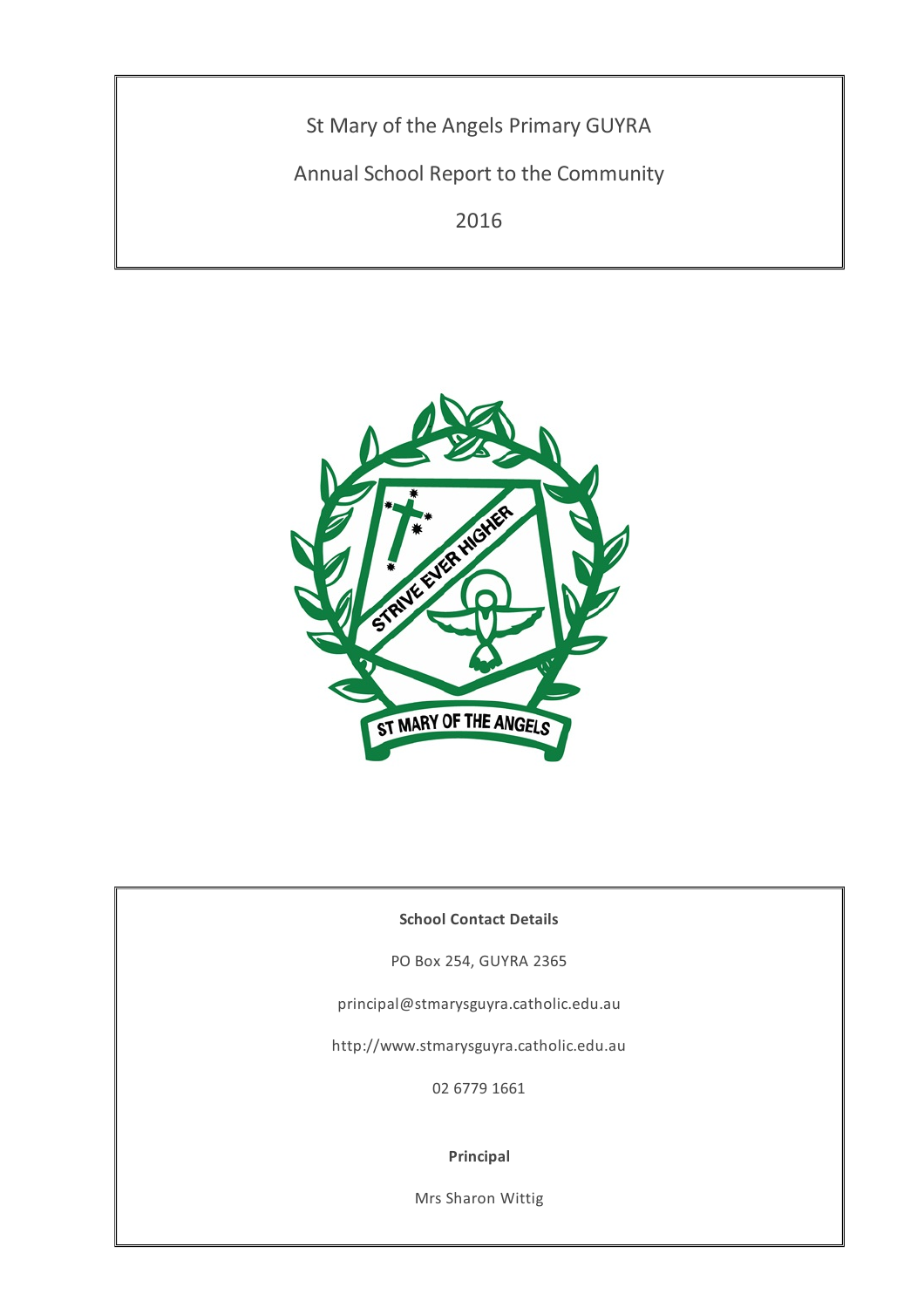St Mary of the Angels Primary GUYRA

Annual School Report to the Community

2016



## **School Contact Details**

PO Box 254, GUYRA 2365

principal@stmarysguyra.catholic.edu.au

http://www.stmarysguyra.catholic.edu.au

02 6779 1661

#### **Principal**

Mrs Sharon Wittig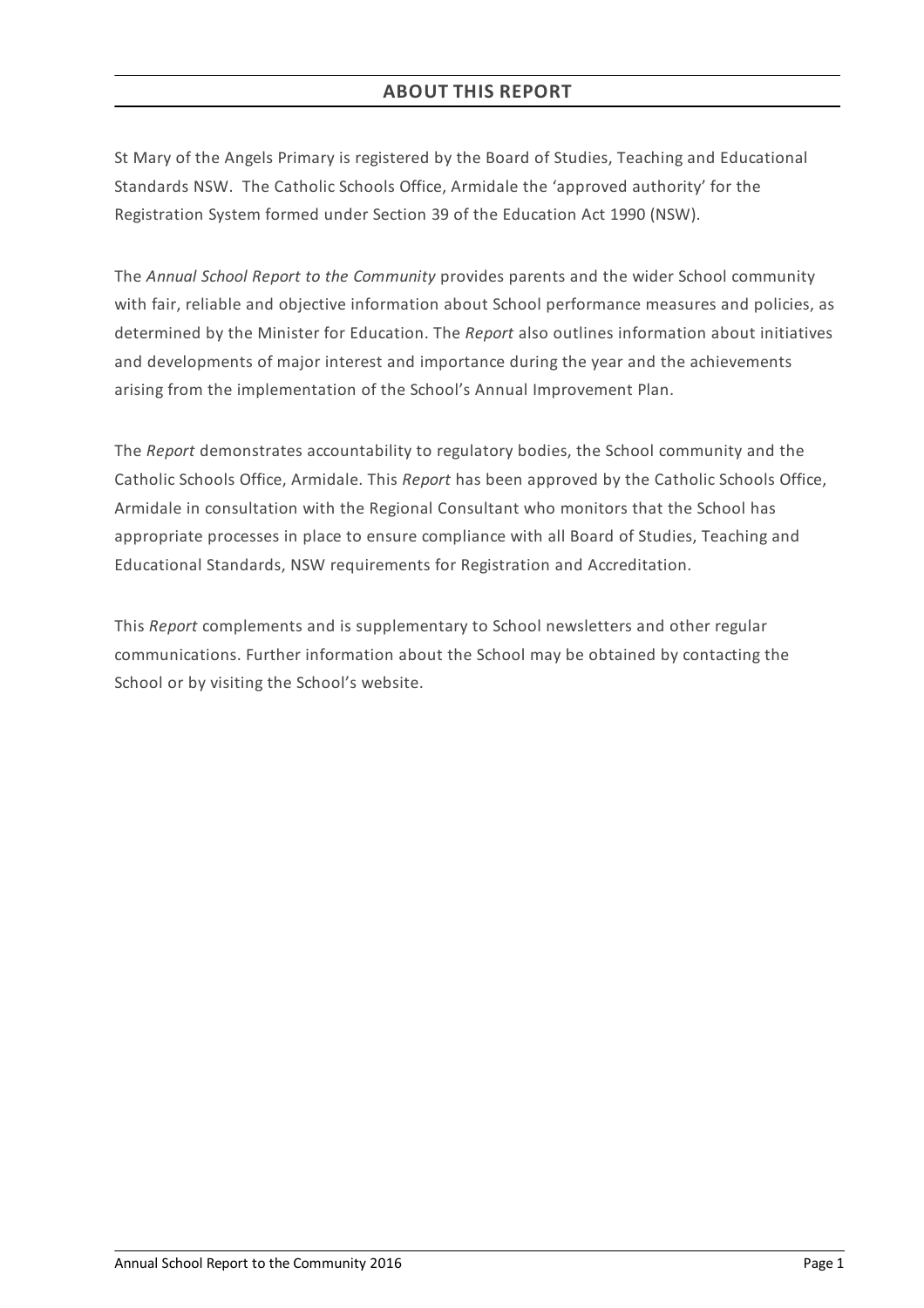St Mary of the Angels Primary is registered by the Board of Studies, Teaching and Educational Standards NSW. The Catholic Schools Office, Armidale the 'approved authority' for the Registration System formed under Section 39 of the Education Act 1990 (NSW).

The *Annual School Report to the Community* provides parents and the wider School community with fair, reliable and objective information about School performance measures and policies, as determined by the Minister for Education. The *Report* also outlines information about initiatives and developments of major interest and importance during the year and the achievements arising from the implementation of the School's Annual Improvement Plan.

The *Report* demonstrates accountability to regulatory bodies, the School community and the Catholic Schools Office, Armidale. This *Report* has been approved by the Catholic Schools Office, Armidale in consultation with the Regional Consultant who monitors that the School has appropriate processes in place to ensure compliance with all Board of Studies, Teaching and Educational Standards, NSW requirements for Registration and Accreditation.

This *Report* complements and is supplementary to School newsletters and other regular communications. Further information about the School may be obtained by contacting the School or by visiting the School's website.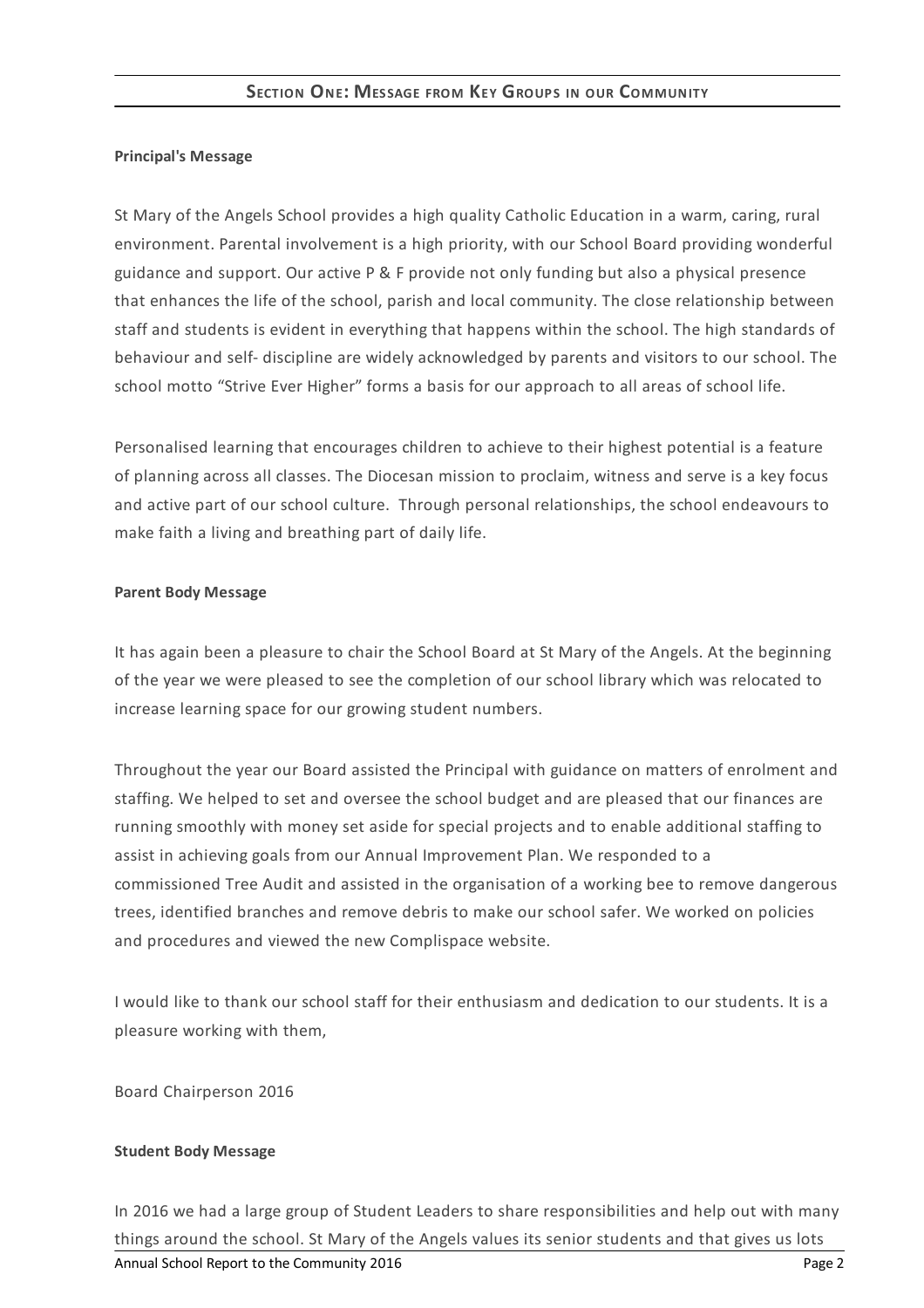#### **Principal's Message**

St Mary of the Angels School provides a high quality Catholic Education in a warm, caring, rural environment. Parental involvement is a high priority, with our School Board providing wonderful guidance and support. Our active P & F provide not only funding but also a physical presence that enhances the life of the school, parish and local community. The close relationship between staff and students is evident in everything that happens within the school. The high standards of behaviour and self- discipline are widely acknowledged by parents and visitors to our school. The school motto "Strive Ever Higher" forms a basis for our approach to all areas of school life.

Personalised learning that encourages children to achieve to their highest potential is a feature of planning across all classes. The Diocesan mission to proclaim, witness and serve is a key focus and active part of our school culture. Through personal relationships, the school endeavours to make faith a living and breathing part of daily life.

#### **Parent Body Message**

It has again been a pleasure to chair the School Board at St Mary of the Angels. At the beginning of the year we were pleased to see the completion of our school library which was relocated to increase learning space for our growing student numbers.

Throughout the year our Board assisted the Principal with guidance on matters of enrolment and staffing. We helped to set and oversee the school budget and are pleased that our finances are running smoothly with money set aside for special projects and to enable additional staffing to assist in achieving goals from our Annual Improvement Plan. We responded to a commissioned Tree Audit and assisted in the organisation of a working bee to remove dangerous trees, identified branches and remove debris to make our school safer. We worked on policies and procedures and viewed the new Complispace website.

I would like to thank our school staff for their enthusiasm and dedication to our students. It is a pleasure working with them,

Board Chairperson 2016

#### **Student Body Message**

In 2016 we had a large group of Student Leaders to share responsibilities and help out with many things around the school. St Mary of the Angels values its senior students and that gives us lots Annual School Report to the Community 2016 **Page 2 Page 2**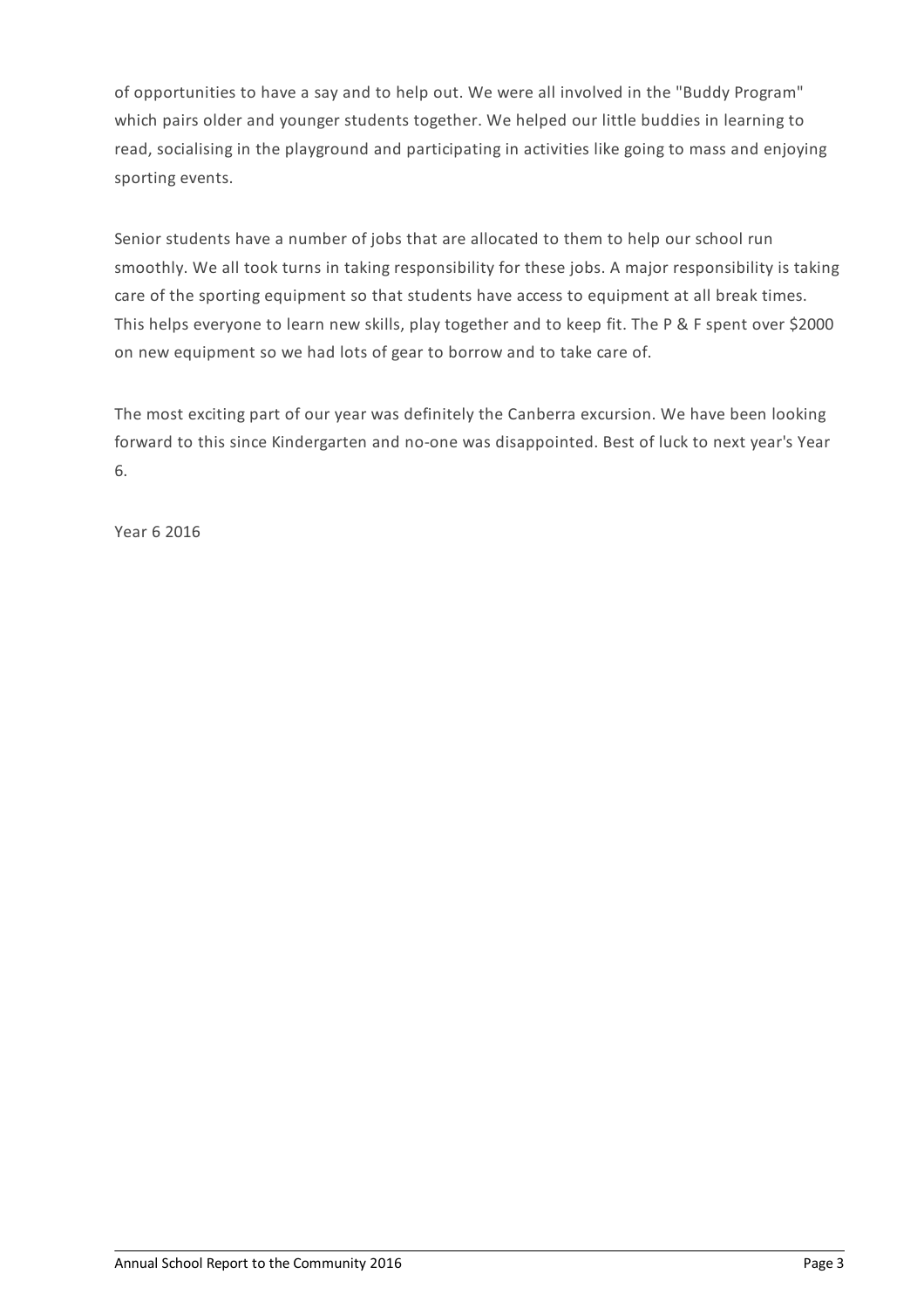of opportunities to have a say and to help out. We were all involved in the "Buddy Program" which pairs older and younger students together. We helped our little buddies in learning to read, socialising in the playground and participating in activities like going to mass and enjoying sporting events.

Senior students have a number of jobs that are allocated to them to help our school run smoothly. We all took turns in taking responsibility for these jobs. A major responsibility is taking care of the sporting equipment so that students have access to equipment at all break times. This helps everyone to learn new skills, play together and to keep fit. The P & F spent over \$2000 on new equipment so we had lots of gear to borrow and to take care of.

The most exciting part of our year was definitely the Canberra excursion. We have been looking forward to this since Kindergarten and no-one was disappointed. Best of luck to next year's Year 6.

Year 6 2016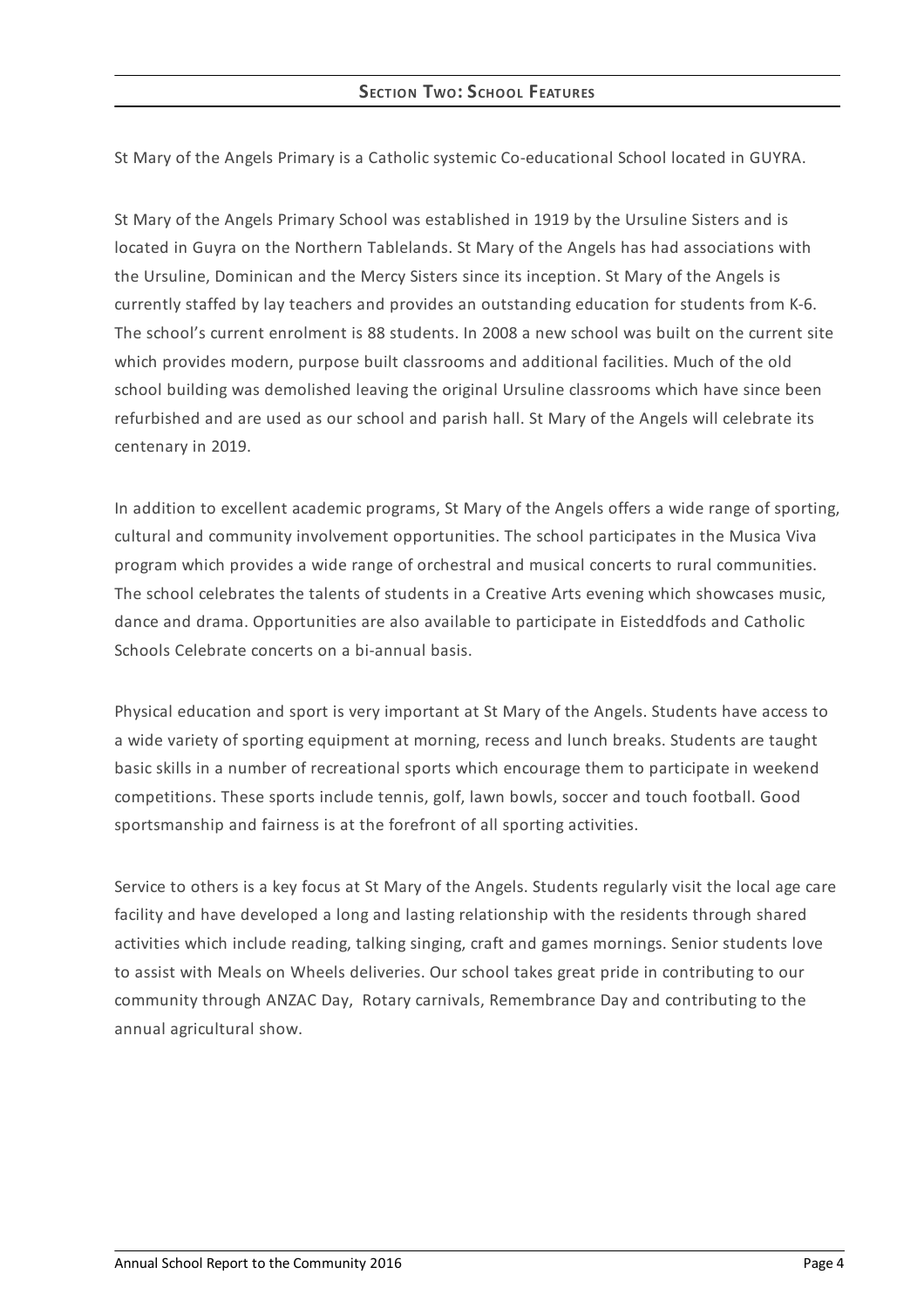St Mary of the Angels Primary is a Catholic systemic Co-educational School located in GUYRA.

St Mary of the Angels Primary School was established in 1919 by the Ursuline Sisters and is located in Guyra on the Northern Tablelands. St Mary of the Angels has had associations with the Ursuline, Dominican and the Mercy Sisters since its inception. St Mary of the Angels is currently staffed by lay teachers and provides an outstanding education for students from K-6. The school's current enrolment is 88 students. In 2008 a new school was built on the current site which provides modern, purpose built classrooms and additional facilities. Much of the old school building was demolished leaving the original Ursuline classrooms which have since been refurbished and are used as our school and parish hall. St Mary of the Angels will celebrate its centenary in 2019.

In addition to excellent academic programs, St Mary of the Angels offers a wide range of sporting, cultural and community involvement opportunities. The school participates in the Musica Viva program which provides a wide range of orchestral and musical concerts to rural communities. The school celebrates the talents of students in a Creative Arts evening which showcases music, dance and drama. Opportunities are also available to participate in Eisteddfods and Catholic Schools Celebrate concerts on a bi-annual basis.

Physical education and sport is very important at St Mary of the Angels. Students have access to a wide variety of sporting equipment at morning, recess and lunch breaks. Students are taught basic skills in a number of recreational sports which encourage them to participate in weekend competitions. These sports include tennis, golf, lawn bowls, soccer and touch football. Good sportsmanship and fairness is at the forefront of all sporting activities.

Service to others is a key focus at St Mary of the Angels. Students regularly visit the local age care facility and have developed a long and lasting relationship with the residents through shared activities which include reading, talking singing, craft and games mornings. Senior students love to assist with Meals on Wheels deliveries. Our school takes great pride in contributing to our community through ANZAC Day, Rotary carnivals, Remembrance Day and contributing to the annual agricultural show.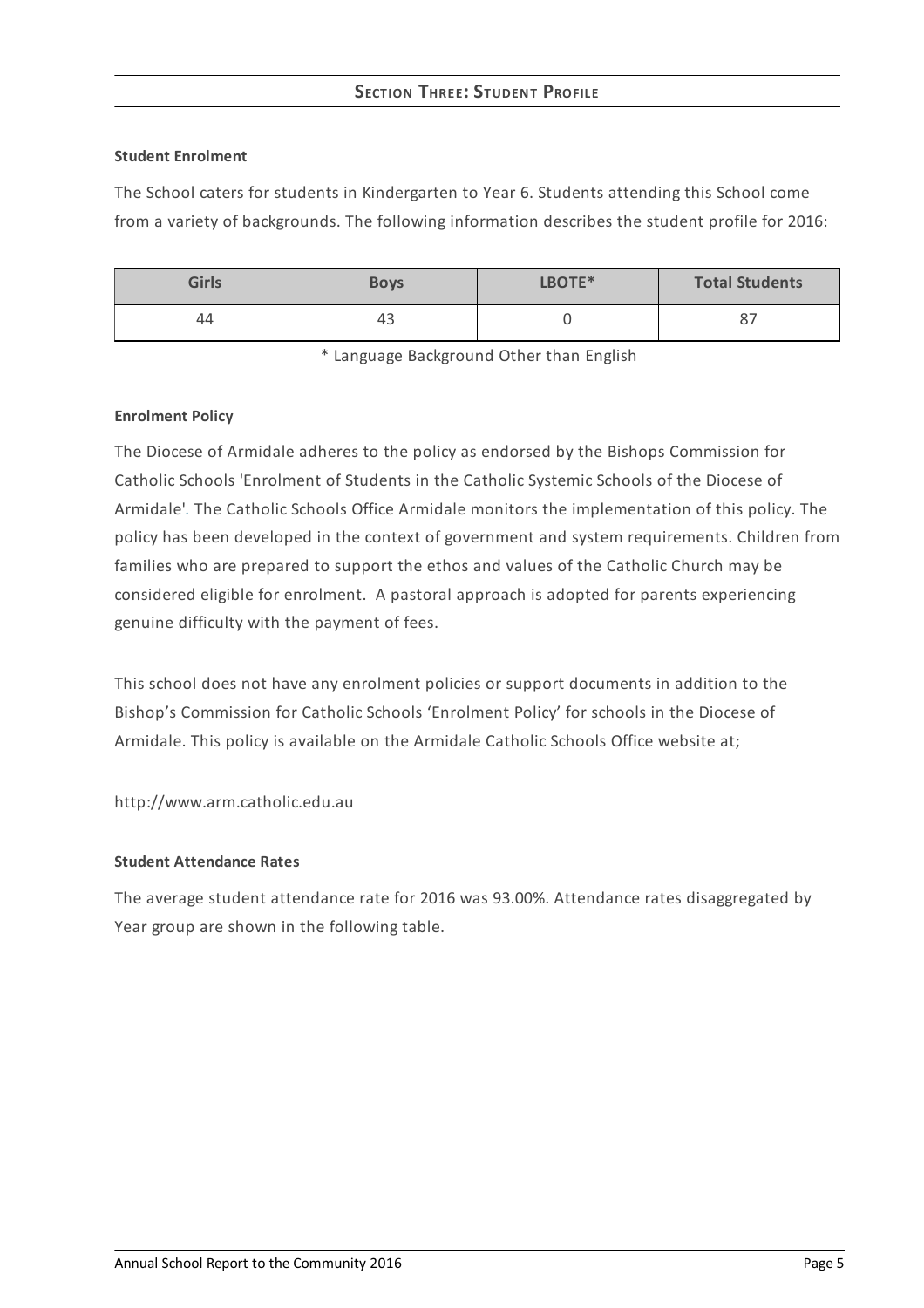# **SECTION THREE:STUDENT PROFILE**

#### **Student Enrolment**

The School caters for students in Kindergarten to Year 6. Students attending this School come from a variety of backgrounds. The following information describes the student profile for 2016:

| <b>Girls</b> | <b>Boys</b> | LBOTE* | <b>Total Students</b> |
|--------------|-------------|--------|-----------------------|
| 44           | 43          |        | $\circ$               |

\* Language Background Other than English

#### **Enrolment Policy**

The Diocese of Armidale adheres to the policy as endorsed by the Bishops Commission for Catholic Schools 'Enrolment of Students in the Catholic Systemic Schools of the Diocese of Armidale'*[.](http://www.ceosyd.catholic.edu.au/About/Pages/pol-pos-papers.aspx)* The Catholic Schools Office Armidale monitors the implementation of this policy. The policy has been developed in the context of government and system requirements. Children from families who are prepared to support the ethos and values of the Catholic Church may be considered eligible for enrolment. A pastoral approach is adopted for parents experiencing genuine difficulty with the payment of fees.

This school does not have any enrolment policies or support documents in addition to the Bishop's Commission for Catholic Schools 'Enrolment Policy' for schools in the Diocese of Armidale. This policy is available on the Armidale Catholic Schools Office website at;

http://www.arm.catholic.edu.au

## **Student Attendance Rates**

The average student attendance rate for 2016 was 93.00%. Attendance rates disaggregated by Year group are shown in the following table.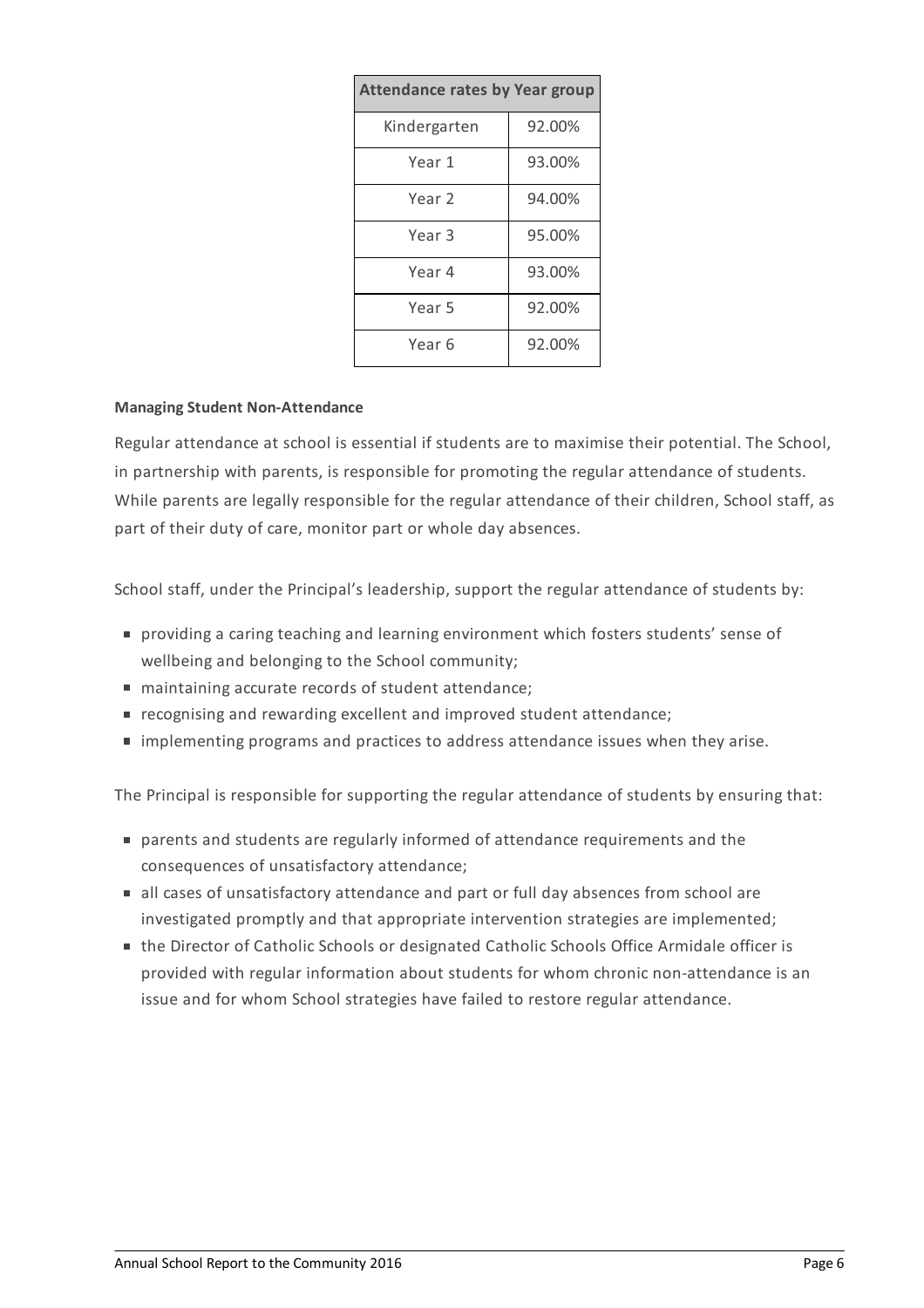| <b>Attendance rates by Year group</b> |        |  |  |
|---------------------------------------|--------|--|--|
| Kindergarten                          | 92.00% |  |  |
| Year 1                                | 93.00% |  |  |
| Year 2                                | 94.00% |  |  |
| Year <sub>3</sub>                     | 95.00% |  |  |
| Year 4                                | 93.00% |  |  |
| Year 5                                | 92.00% |  |  |
| Year 6                                | 92.00% |  |  |

#### **Managing Student Non-Attendance**

Regular attendance at school is essential if students are to maximise their potential. The School, in partnership with parents, is responsible for promoting the regular attendance of students. While parents are legally responsible for the regular attendance of their children, School staff, as part of their duty of care, monitor part or whole day absences.

School staff, under the Principal's leadership, support the regular attendance of students by:

- providing a caring teaching and learning environment which fosters students' sense of wellbeing and belonging to the School community;
- maintaining accurate records of student attendance;
- recognising and rewarding excellent and improved student attendance;
- implementing programs and practices to address attendance issues when they arise.

The Principal is responsible for supporting the regular attendance of students by ensuring that:

- parents and students are regularly informed of attendance requirements and the consequences of unsatisfactory attendance;
- all cases of unsatisfactory attendance and part or full day absences from school are investigated promptly and that appropriate intervention strategies are implemented;
- the Director of Catholic Schools or designated Catholic Schools Office Armidale officer is provided with regular information about students for whom chronic non-attendance is an issue and for whom School strategies have failed to restore regular attendance.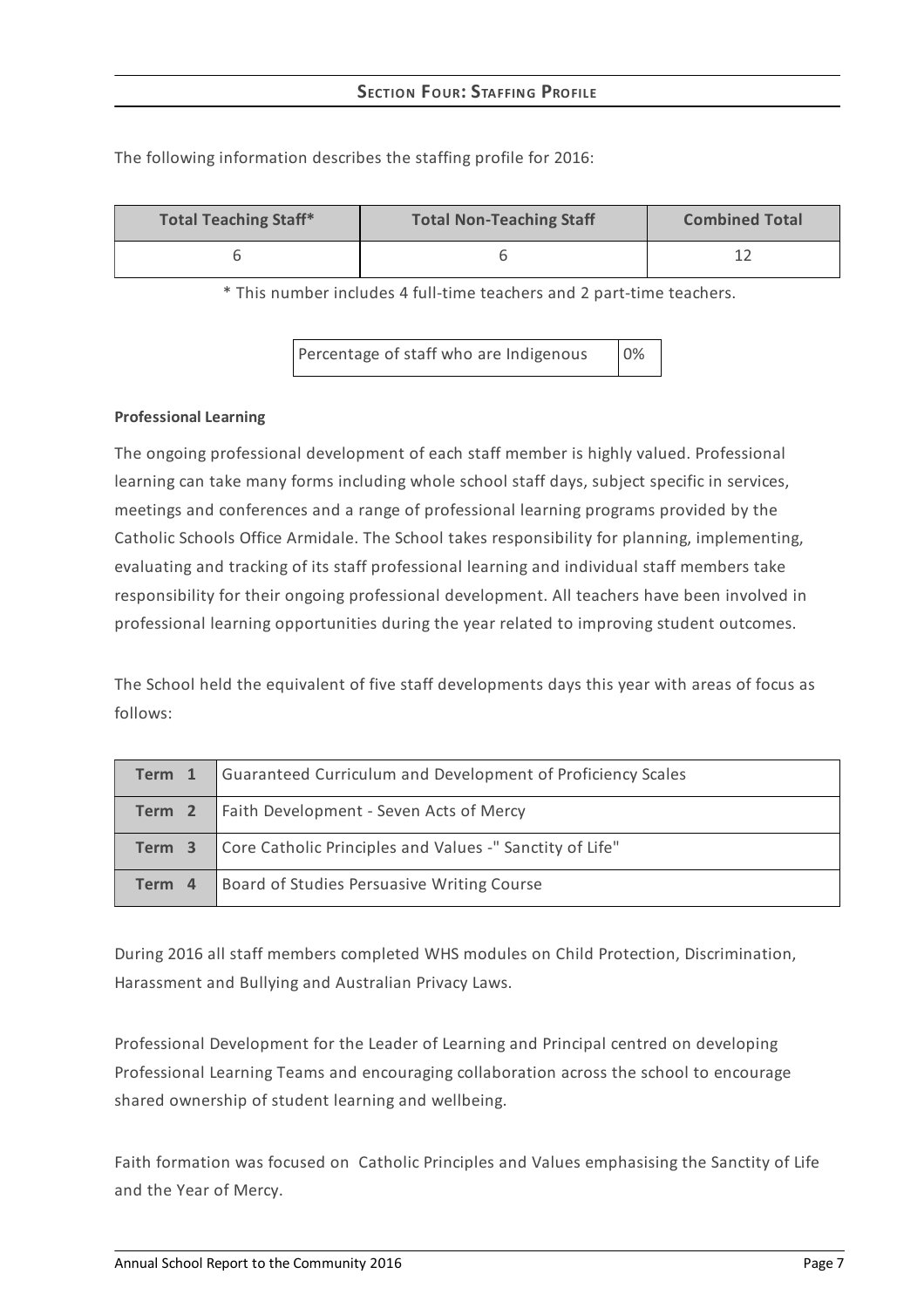| <b>Total Teaching Staff*</b> | <b>Total Non-Teaching Staff</b> | <b>Combined Total</b> |
|------------------------------|---------------------------------|-----------------------|
|                              |                                 |                       |

The following information describes the staffing profile for 2016:

\* This number includes 4 full-time teachers and 2 part-time teachers.

Percentage of staff who are Indigenous 0%

#### **Professional Learning**

The ongoing professional development of each staff member is highly valued. Professional learning can take many forms including whole school staff days, subject specific in services, meetings and conferences and a range of professional learning programs provided by the Catholic Schools Office Armidale. The School takes responsibility for planning, implementing, evaluating and tracking of its staff professional learning and individual staff members take responsibility for their ongoing professional development. All teachers have been involved in professional learning opportunities during the year related to improving student outcomes.

The School held the equivalent of five staff developments days this year with areas of focus as follows:

| Term 1 | Guaranteed Curriculum and Development of Proficiency Scales |
|--------|-------------------------------------------------------------|
|        | Term 2   Faith Development - Seven Acts of Mercy            |
| Term 3 | Core Catholic Principles and Values -" Sanctity of Life"    |
| Term 4 | Board of Studies Persuasive Writing Course                  |

During 2016 all staff members completed WHS modules on Child Protection, Discrimination, Harassment and Bullying and Australian Privacy Laws.

Professional Development for the Leader of Learning and Principal centred on developing Professional Learning Teams and encouraging collaboration across the school to encourage shared ownership of student learning and wellbeing.

Faith formation was focused on Catholic Principles and Values emphasising the Sanctity of Life and the Year of Mercy.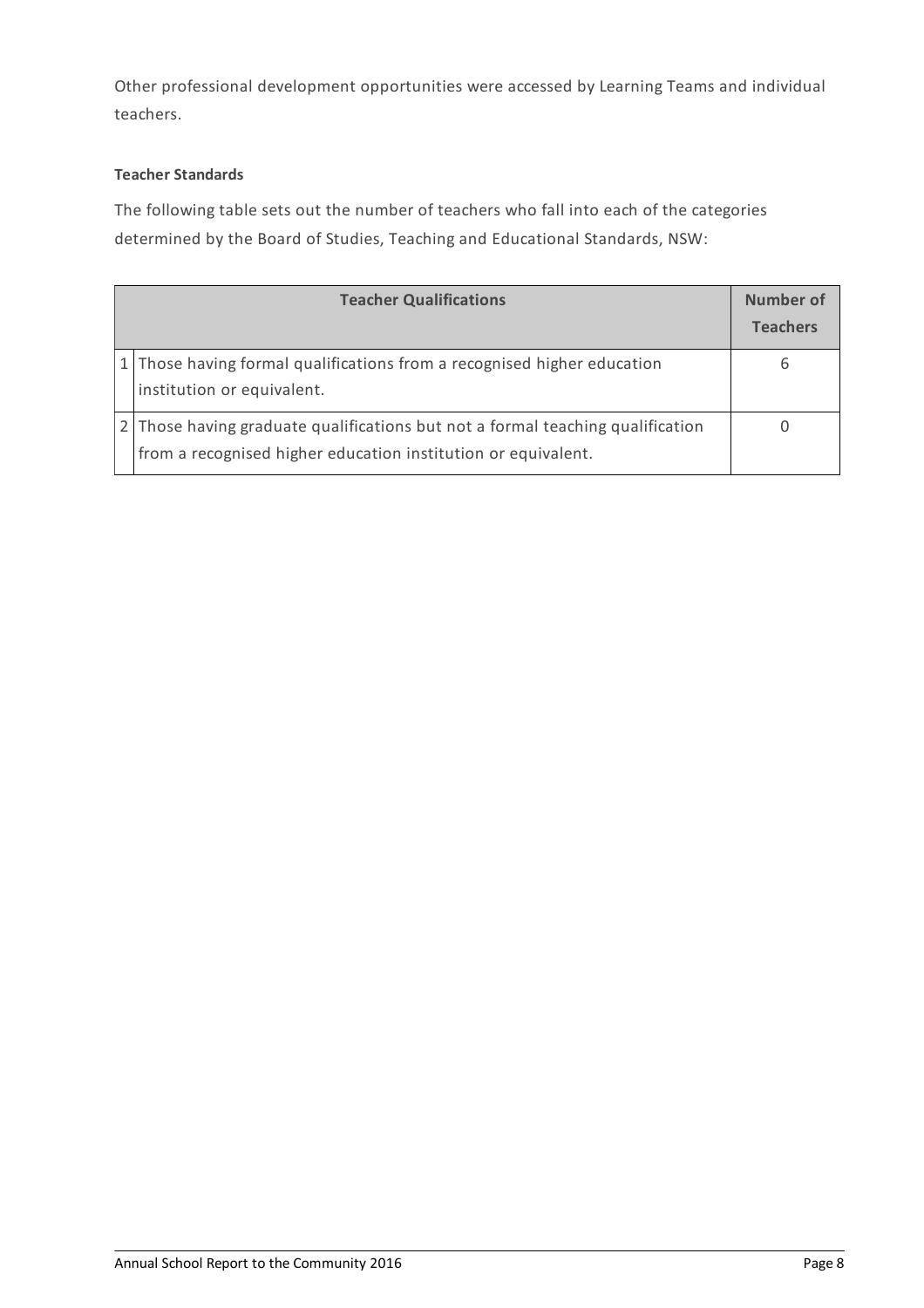Other professional development opportunities were accessed by Learning Teams and individual teachers.

# **Teacher Standards**

The following table sets out the number of teachers who fall into each of the categories determined by the Board of Studies, Teaching and Educational Standards, NSW:

| <b>Teacher Qualifications</b> |                                                                                                                                                 | Number of<br><b>Teachers</b> |
|-------------------------------|-------------------------------------------------------------------------------------------------------------------------------------------------|------------------------------|
|                               | 1 Those having formal qualifications from a recognised higher education<br>institution or equivalent.                                           | 6                            |
|                               | 2 Those having graduate qualifications but not a formal teaching qualification<br>from a recognised higher education institution or equivalent. |                              |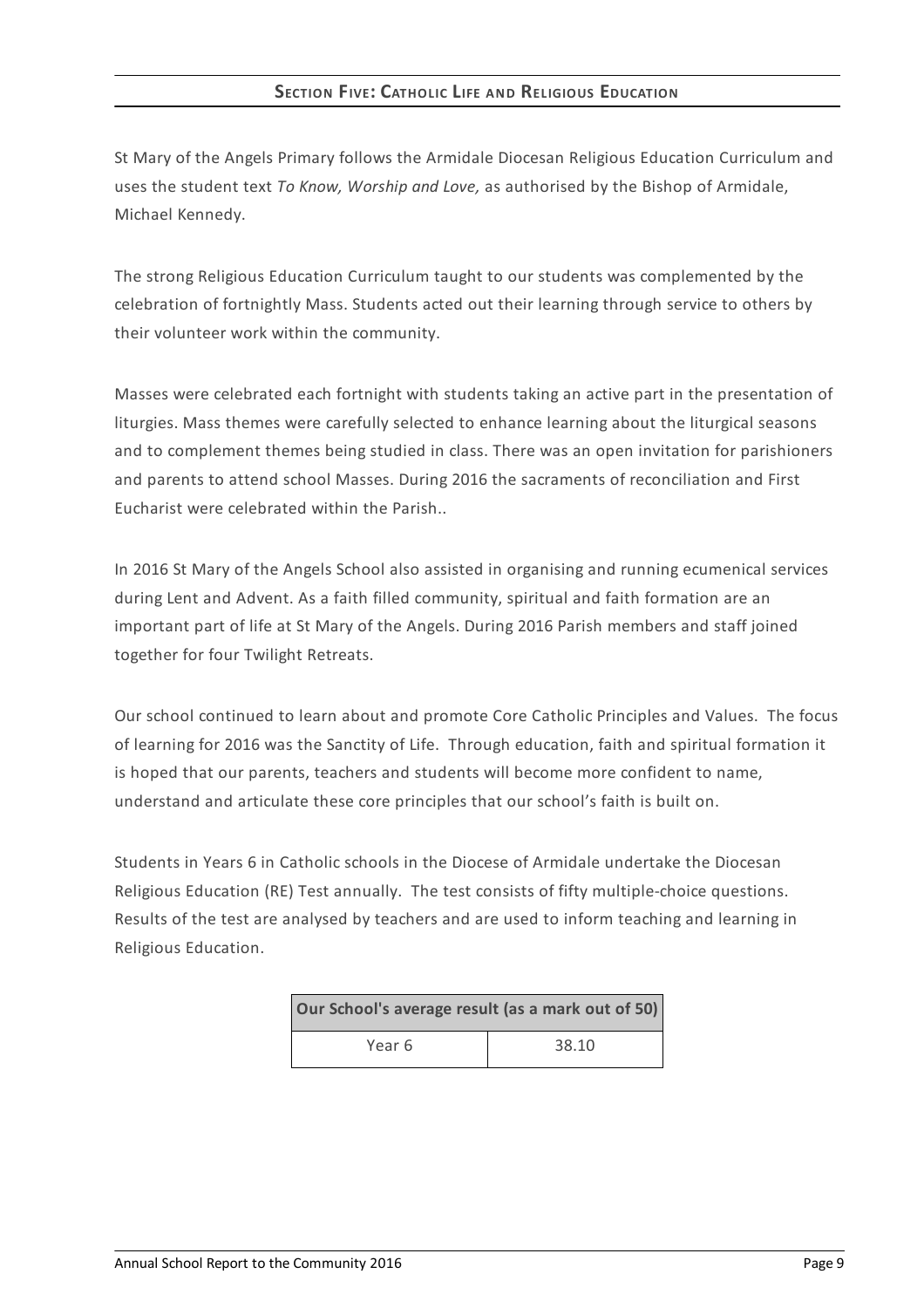## **SECTION FIVE: CATHOLIC LIFE AND RELIGIOUS EDUCATION**

St Mary of the Angels Primary follows the Armidale Diocesan Religious Education Curriculum and uses the student text *To Know, Worship and Love,* as authorised by the Bishop of Armidale, Michael Kennedy.

The strong Religious Education Curriculum taught to our students was complemented by the celebration of fortnightly Mass. Students acted out their learning through service to others by their volunteer work within the community.

Masses were celebrated each fortnight with students taking an active part in the presentation of liturgies. Mass themes were carefully selected to enhance learning about the liturgical seasons and to complement themes being studied in class. There was an open invitation for parishioners and parents to attend school Masses. During 2016 the sacraments of reconciliation and First Eucharist were celebrated within the Parish..

In 2016 St Mary of the Angels School also assisted in organising and running ecumenical services during Lent and Advent. As a faith filled community, spiritual and faith formation are an important part of life at St Mary of the Angels. During 2016 Parish members and staff joined together for four Twilight Retreats.

Our school continued to learn about and promote Core Catholic Principles and Values. The focus of learning for 2016 was the Sanctity of Life. Through education, faith and spiritual formation it is hoped that our parents, teachers and students will become more confident to name, understand and articulate these core principles that our school's faith is built on.

Students in Years 6 in Catholic schools in the Diocese of Armidale undertake the Diocesan Religious Education (RE) Test annually. The test consists of fifty multiple-choice questions. Results of the test are analysed by teachers and are used to inform teaching and learning in Religious Education.

| Our School's average result (as a mark out of 50) |       |  |
|---------------------------------------------------|-------|--|
| Year 6                                            | 38.10 |  |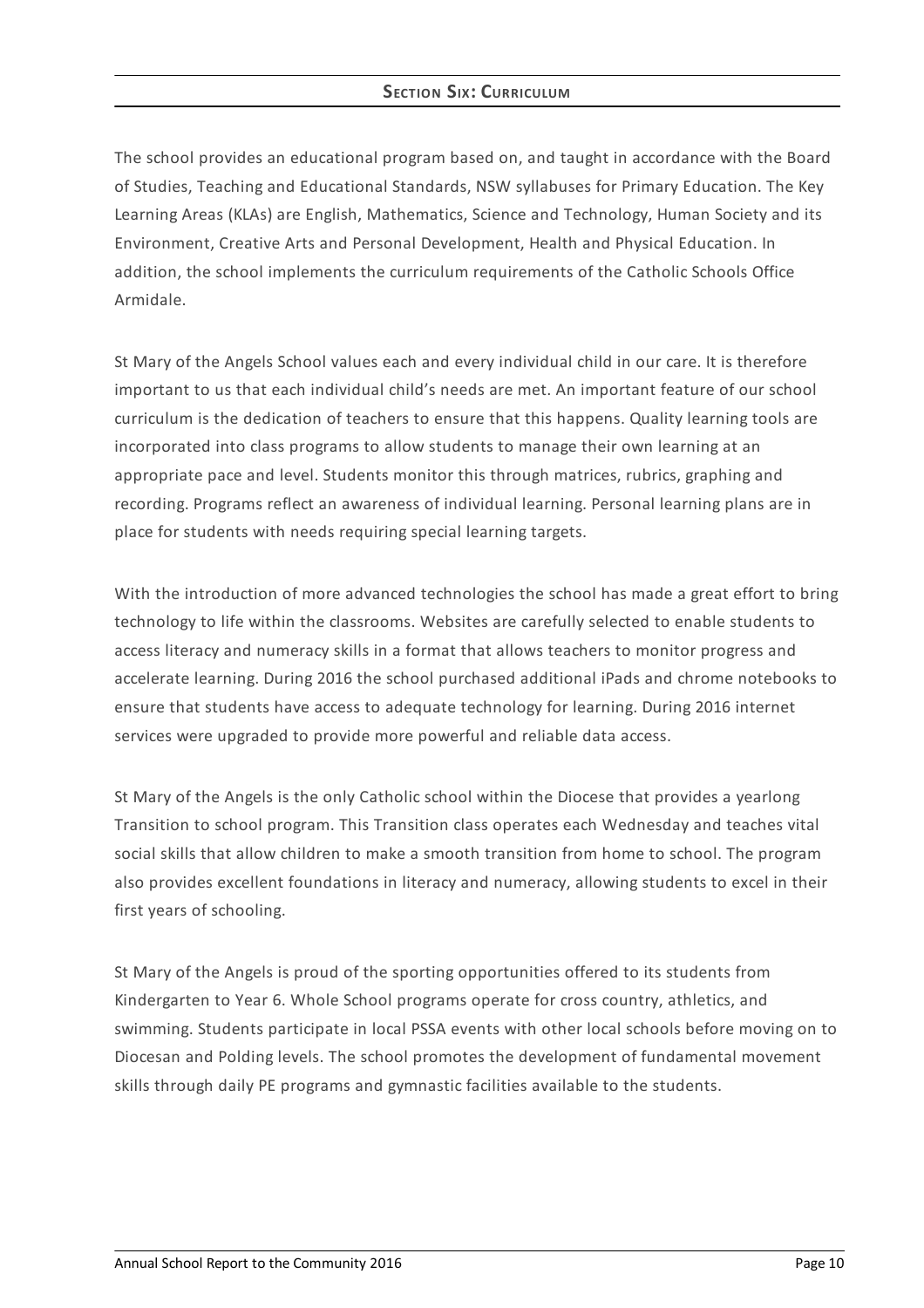# **SECTION SIX: CURRICULUM**

The school provides an educational program based on, and taught in accordance with the Board of Studies, Teaching and Educational Standards, NSW syllabuses for Primary Education. The Key Learning Areas (KLAs) are English, Mathematics, Science and Technology, Human Society and its Environment, Creative Arts and Personal Development, Health and Physical Education. In addition, the school implements the curriculum requirements of the Catholic Schools Office Armidale.

St Mary of the Angels School values each and every individual child in our care. It is therefore important to us that each individual child's needs are met. An important feature of our school curriculum is the dedication of teachers to ensure that this happens. Quality learning tools are incorporated into class programs to allow students to manage their own learning at an appropriate pace and level. Students monitor this through matrices, rubrics, graphing and recording. Programs reflect an awareness of individual learning. Personal learning plans are in place for students with needs requiring special learning targets.

With the introduction of more advanced technologies the school has made a great effort to bring technology to life within the classrooms. Websites are carefully selected to enable students to access literacy and numeracy skills in a format that allows teachers to monitor progress and accelerate learning. During 2016 the school purchased additional iPads and chrome notebooks to ensure that students have access to adequate technology for learning. During 2016 internet services were upgraded to provide more powerful and reliable data access.

St Mary of the Angels is the only Catholic school within the Diocese that provides a yearlong Transition to school program. This Transition class operates each Wednesday and teaches vital social skills that allow children to make a smooth transition from home to school. The program also provides excellent foundations in literacy and numeracy, allowing students to excel in their first years of schooling.

St Mary of the Angels is proud of the sporting opportunities offered to its students from Kindergarten to Year 6. Whole School programs operate for cross country, athletics, and swimming. Students participate in local PSSA events with other local schools before moving on to Diocesan and Polding levels. The school promotes the development of fundamental movement skills through daily PE programs and gymnastic facilities available to the students.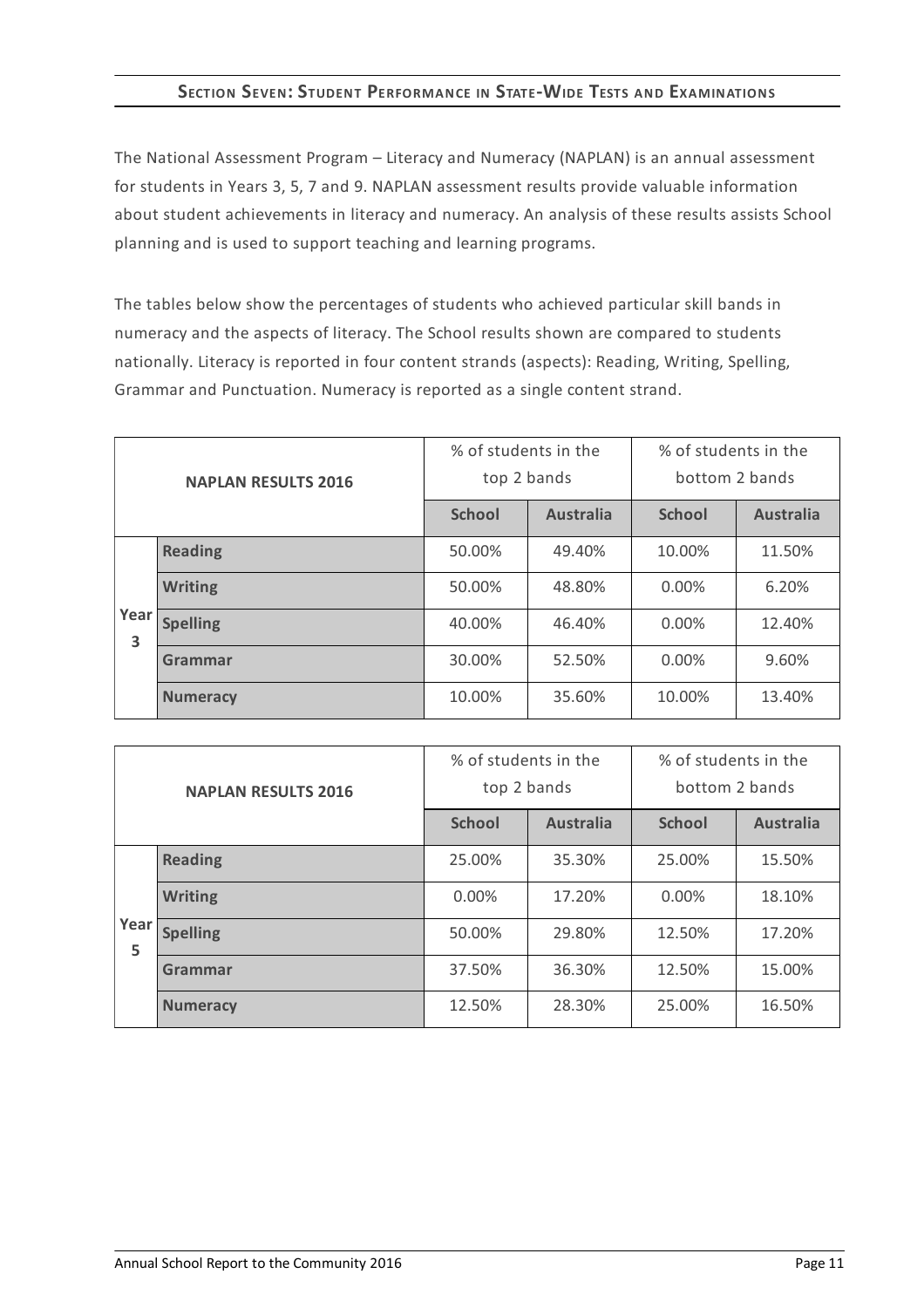# **SECTION SEVEN:STUDENT PERFORMANCE IN STATE-WIDE TESTS AND EXAMINATIONS**

The National Assessment Program – Literacy and Numeracy (NAPLAN) is an annual assessment for students in Years 3, 5, 7 and 9. NAPLAN assessment results provide valuable information about student achievements in literacy and numeracy. An analysis of these results assists School planning and is used to support teaching and learning programs.

The tables below show the percentages of students who achieved particular skill bands in numeracy and the aspects of literacy. The School results shown are compared to students nationally. Literacy is reported in four content strands (aspects): Reading, Writing, Spelling, Grammar and Punctuation. Numeracy is reported as a single content strand.

| <b>NAPLAN RESULTS 2016</b> |                 | % of students in the<br>top 2 bands |                  | % of students in the<br>bottom 2 bands |                  |
|----------------------------|-----------------|-------------------------------------|------------------|----------------------------------------|------------------|
|                            |                 | <b>School</b>                       | <b>Australia</b> | <b>School</b>                          | <b>Australia</b> |
|                            | <b>Reading</b>  | 50.00%                              | 49.40%           | 10.00%                                 | 11.50%           |
|                            | <b>Writing</b>  | 50.00%                              | 48.80%           | $0.00\%$                               | 6.20%            |
| Year<br>3                  | <b>Spelling</b> | 40.00%                              | 46.40%           | $0.00\%$                               | 12.40%           |
|                            | Grammar         | 30.00%                              | 52.50%           | $0.00\%$                               | 9.60%            |
|                            | <b>Numeracy</b> | 10.00%                              | 35.60%           | 10.00%                                 | 13.40%           |

| <b>NAPLAN RESULTS 2016</b> |                 | % of students in the<br>top 2 bands |                  | % of students in the<br>bottom 2 bands |                  |
|----------------------------|-----------------|-------------------------------------|------------------|----------------------------------------|------------------|
|                            |                 | <b>School</b>                       | <b>Australia</b> | <b>School</b>                          | <b>Australia</b> |
|                            | <b>Reading</b>  | 25.00%                              | 35.30%           | 25.00%                                 | 15.50%           |
|                            | <b>Writing</b>  | $0.00\%$                            | 17.20%           | $0.00\%$                               | 18.10%           |
| Year<br>5                  | <b>Spelling</b> | 50.00%                              | 29.80%           | 12.50%                                 | 17.20%           |
|                            | Grammar         | 37.50%                              | 36.30%           | 12.50%                                 | 15.00%           |
|                            | <b>Numeracy</b> | 12.50%                              | 28.30%           | 25.00%                                 | 16.50%           |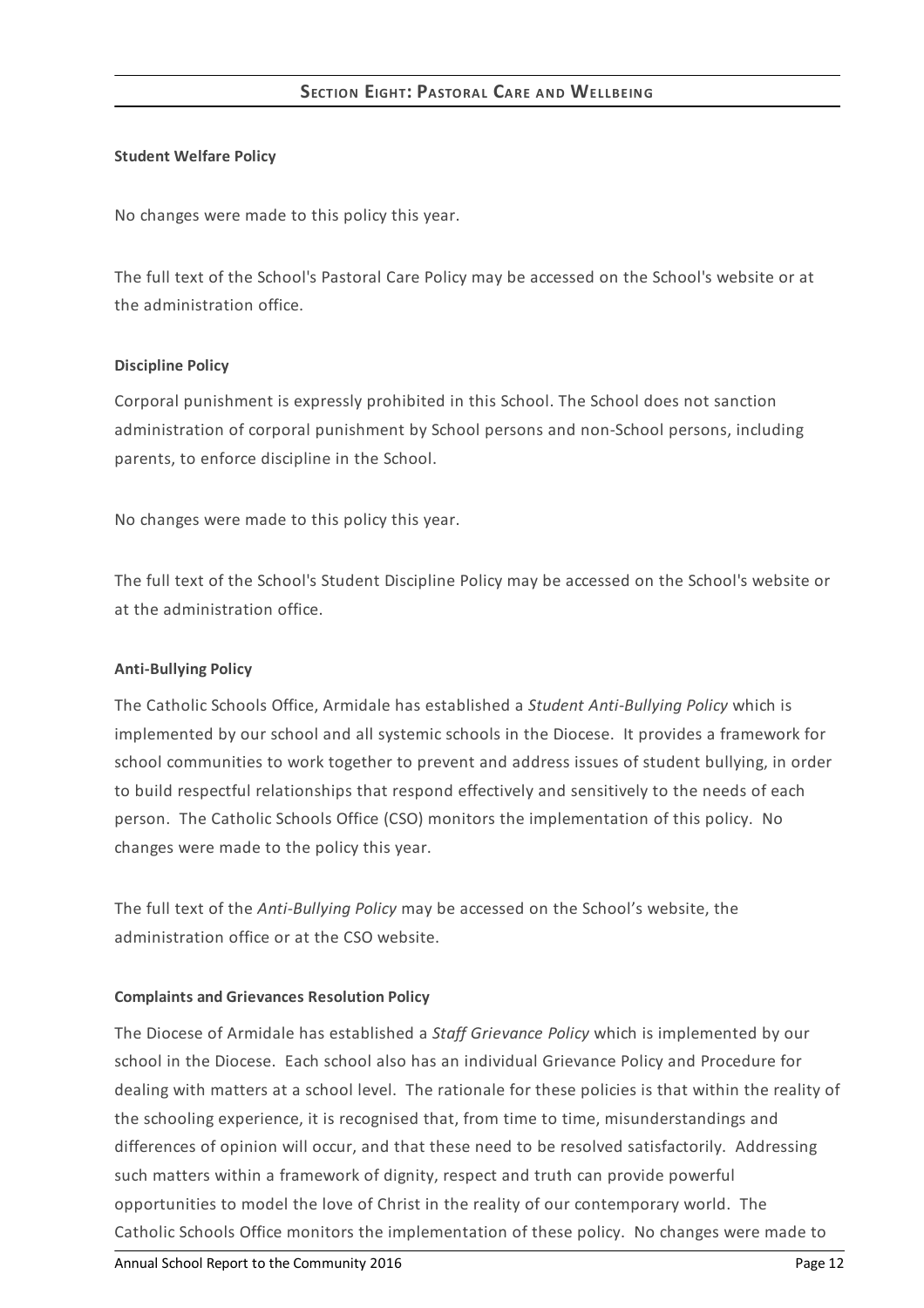## **Student Welfare Policy**

No changes were made to this policy this year.

The full text of the School's Pastoral Care Policy may be accessed on the School's website or at the administration office.

#### **Discipline Policy**

Corporal punishment is expressly prohibited in this School. The School does not sanction administration of corporal punishment by School persons and non-School persons, including parents, to enforce discipline in the School.

No changes were made to this policy this year.

The full text of the School's Student Discipline Policy may be accessed on the School's website or at the administration office.

#### **Anti-Bullying Policy**

The Catholic Schools Office, Armidale has established a *Student Anti-Bullying Policy* which is implemented by our school and all systemic schools in the Diocese. It provides a framework for school communities to work together to prevent and address issues of student bullying, in order to build respectful relationships that respond effectively and sensitively to the needs of each person. The Catholic Schools Office (CSO) monitors the implementation of this policy. No changes were made to the policy this year.

The full text of the *Anti-Bullying Policy* may be accessed on the School's website, the administration office or at the CSO website.

#### **Complaints and Grievances Resolution Policy**

The Diocese of Armidale has established a *Staff Grievance Policy* which is implemented by our school in the Diocese. Each school also has an individual Grievance Policy and Procedure for dealing with matters at a school level. The rationale for these policies is that within the reality of the schooling experience, it is recognised that, from time to time, misunderstandings and differences of opinion will occur, and that these need to be resolved satisfactorily. Addressing such matters within a framework of dignity, respect and truth can provide powerful opportunities to model the love of Christ in the reality of our contemporary world. The Catholic Schools Office monitors the implementation of these policy. No changes were made to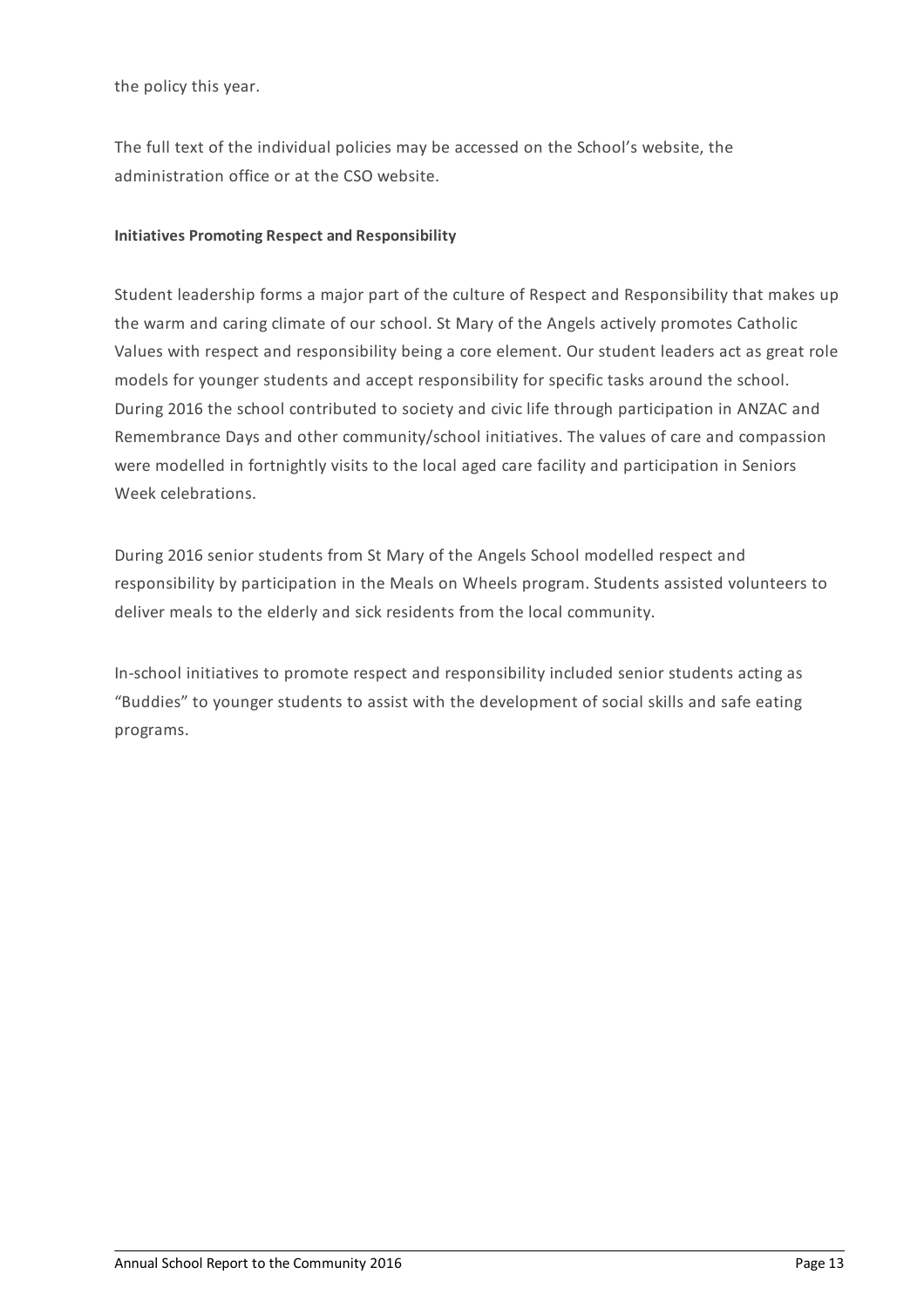the policy this year.

The full text of the individual policies may be accessed on the School's website, the administration office or at the CSO website.

# **Initiatives Promoting Respect and Responsibility**

Student leadership forms a major part of the culture of Respect and Responsibility that makes up the warm and caring climate of our school. St Mary of the Angels actively promotes Catholic Values with respect and responsibility being a core element. Our student leaders act as great role models for younger students and accept responsibility for specific tasks around the school. During 2016 the school contributed to society and civic life through participation in ANZAC and Remembrance Days and other community/school initiatives. The values of care and compassion were modelled in fortnightly visits to the local aged care facility and participation in Seniors Week celebrations.

During 2016 senior students from St Mary of the Angels School modelled respect and responsibility by participation in the Meals on Wheels program. Students assisted volunteers to deliver meals to the elderly and sick residents from the local community.

In-school initiatives to promote respect and responsibility included senior students acting as "Buddies" to younger students to assist with the development of social skills and safe eating programs.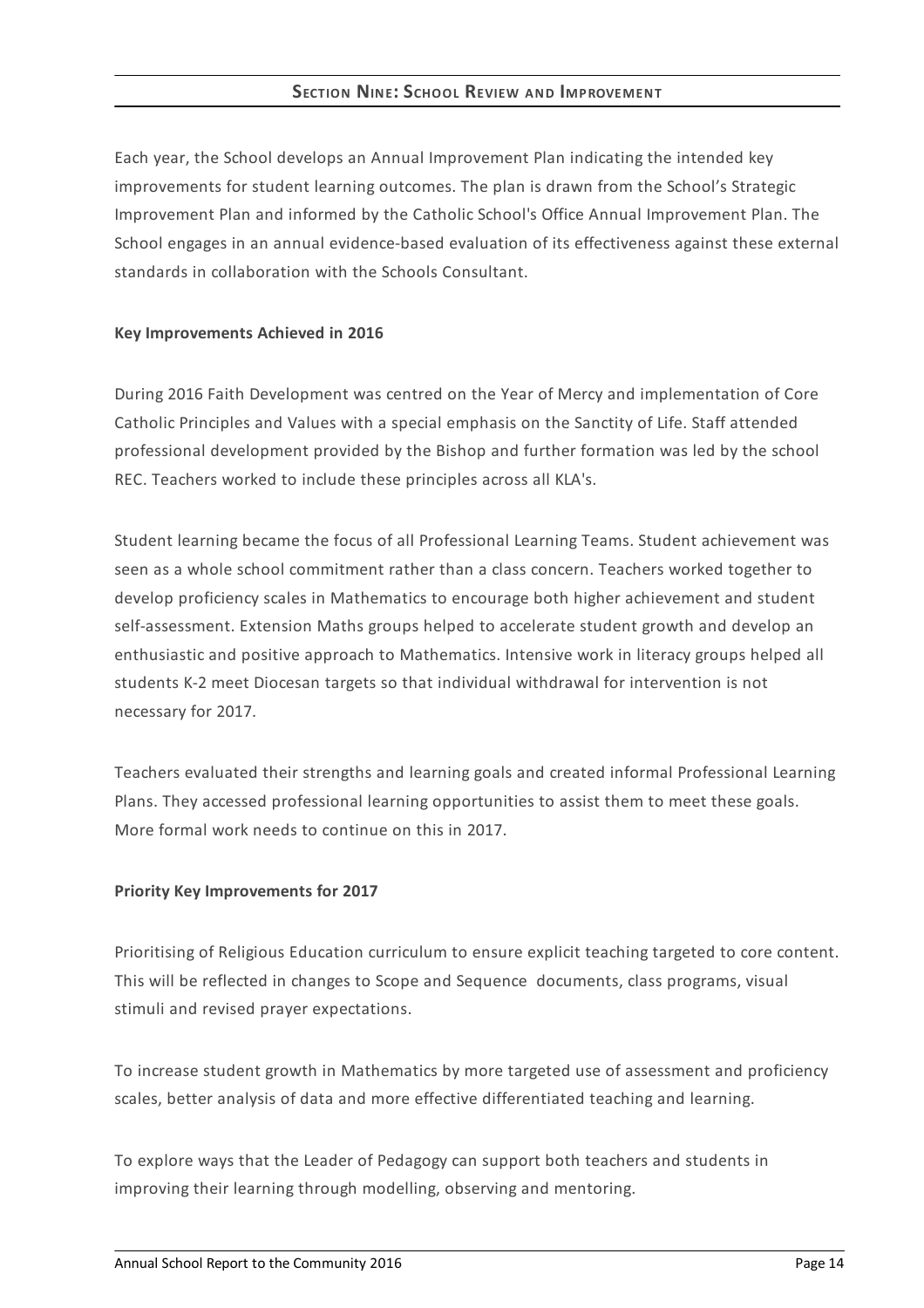# **SECTION NINE:SCHOOL REVIEW AND IMPROVEMENT**

Each year, the School develops an Annual Improvement Plan indicating the intended key improvements for student learning outcomes. The plan is drawn from the School's Strategic Improvement Plan and informed by the Catholic School's Office Annual Improvement Plan. The School engages in an annual evidence-based evaluation of its effectiveness against these external standards in collaboration with the Schools Consultant.

#### **Key Improvements Achieved in 2016**

During 2016 Faith Development was centred on the Year of Mercy and implementation of Core Catholic Principles and Values with a special emphasis on the Sanctity of Life. Staff attended professional development provided by the Bishop and further formation was led by the school REC. Teachers worked to include these principles across all KLA's.

Student learning became the focus of all Professional Learning Teams. Student achievement was seen as a whole school commitment rather than a class concern. Teachers worked together to develop proficiency scales in Mathematics to encourage both higher achievement and student self-assessment. Extension Maths groups helped to accelerate student growth and develop an enthusiastic and positive approach to Mathematics. Intensive work in literacy groups helped all students K-2 meet Diocesan targets so that individual withdrawal for intervention is not necessary for 2017.

Teachers evaluated their strengths and learning goals and created informal Professional Learning Plans. They accessed professional learning opportunities to assist them to meet these goals. More formal work needs to continue on this in 2017.

## **Priority Key Improvements for 2017**

Prioritising of Religious Education curriculum to ensure explicit teaching targeted to core content. This will be reflected in changes to Scope and Sequence documents, class programs, visual stimuli and revised prayer expectations.

To increase student growth in Mathematics by more targeted use of assessment and proficiency scales, better analysis of data and more effective differentiated teaching and learning.

To explore ways that the Leader of Pedagogy can support both teachers and students in improving their learning through modelling, observing and mentoring.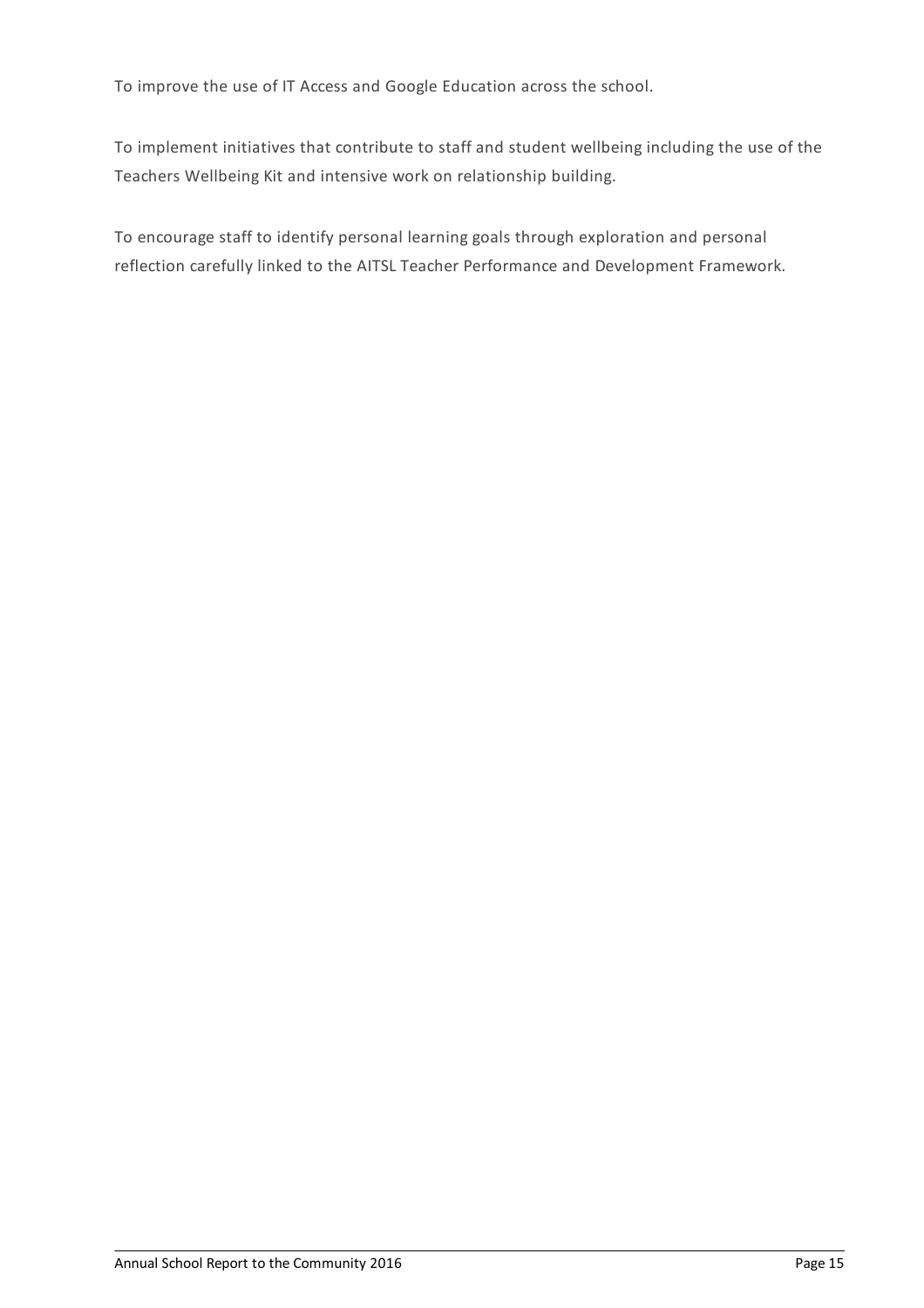To improve the use of IT Access and Google Education across the school.

To implement initiatives that contribute to staff and student wellbeing including the use of the Teachers Wellbeing Kit and intensive work on relationship building.

To encourage staff to identify personal learning goals through exploration and personal reflection carefully linked to the AITSL Teacher Performance and Development Framework.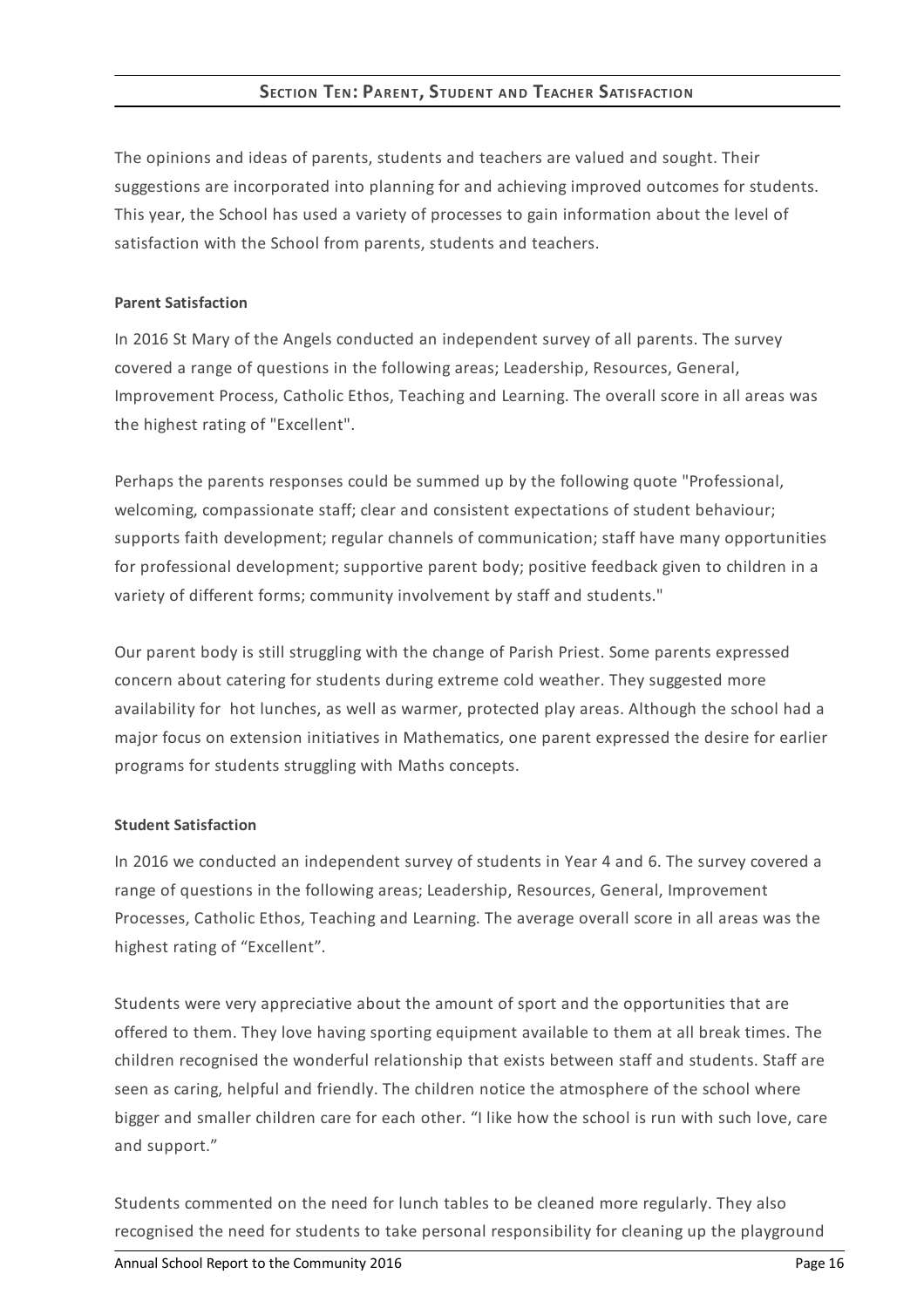# **SECTION TEN: PARENT, STUDENT AND TEACHER SATISFACTION**

The opinions and ideas of parents, students and teachers are valued and sought. Their suggestions are incorporated into planning for and achieving improved outcomes for students. This year, the School has used a variety of processes to gain information about the level of satisfaction with the School from parents, students and teachers.

#### **Parent Satisfaction**

In 2016 St Mary of the Angels conducted an independent survey of all parents. The survey covered a range of questions in the following areas; Leadership, Resources, General, Improvement Process, Catholic Ethos, Teaching and Learning. The overall score in all areas was the highest rating of "Excellent".

Perhaps the parents responses could be summed up by the following quote "Professional, welcoming, compassionate staff; clear and consistent expectations of student behaviour; supports faith development; regular channels of communication; staff have many opportunities for professional development; supportive parent body; positive feedback given to children in a variety of different forms; community involvement by staff and students."

Our parent body is still struggling with the change of Parish Priest. Some parents expressed concern about catering for students during extreme cold weather. They suggested more availability for hot lunches, as well as warmer, protected play areas. Although the school had a major focus on extension initiatives in Mathematics, one parent expressed the desire for earlier programs for students struggling with Maths concepts.

## **Student Satisfaction**

In 2016 we conducted an independent survey of students in Year 4 and 6. The survey covered a range of questions in the following areas; Leadership, Resources, General, Improvement Processes, Catholic Ethos, Teaching and Learning. The average overall score in all areas was the highest rating of "Excellent".

Students were very appreciative about the amount of sport and the opportunities that are offered to them. They love having sporting equipment available to them at all break times. The children recognised the wonderful relationship that exists between staff and students. Staff are seen as caring, helpful and friendly. The children notice the atmosphere of the school where bigger and smaller children care for each other. "I like how the school is run with such love, care and support."

Students commented on the need for lunch tables to be cleaned more regularly. They also recognised the need for students to take personal responsibility for cleaning up the playground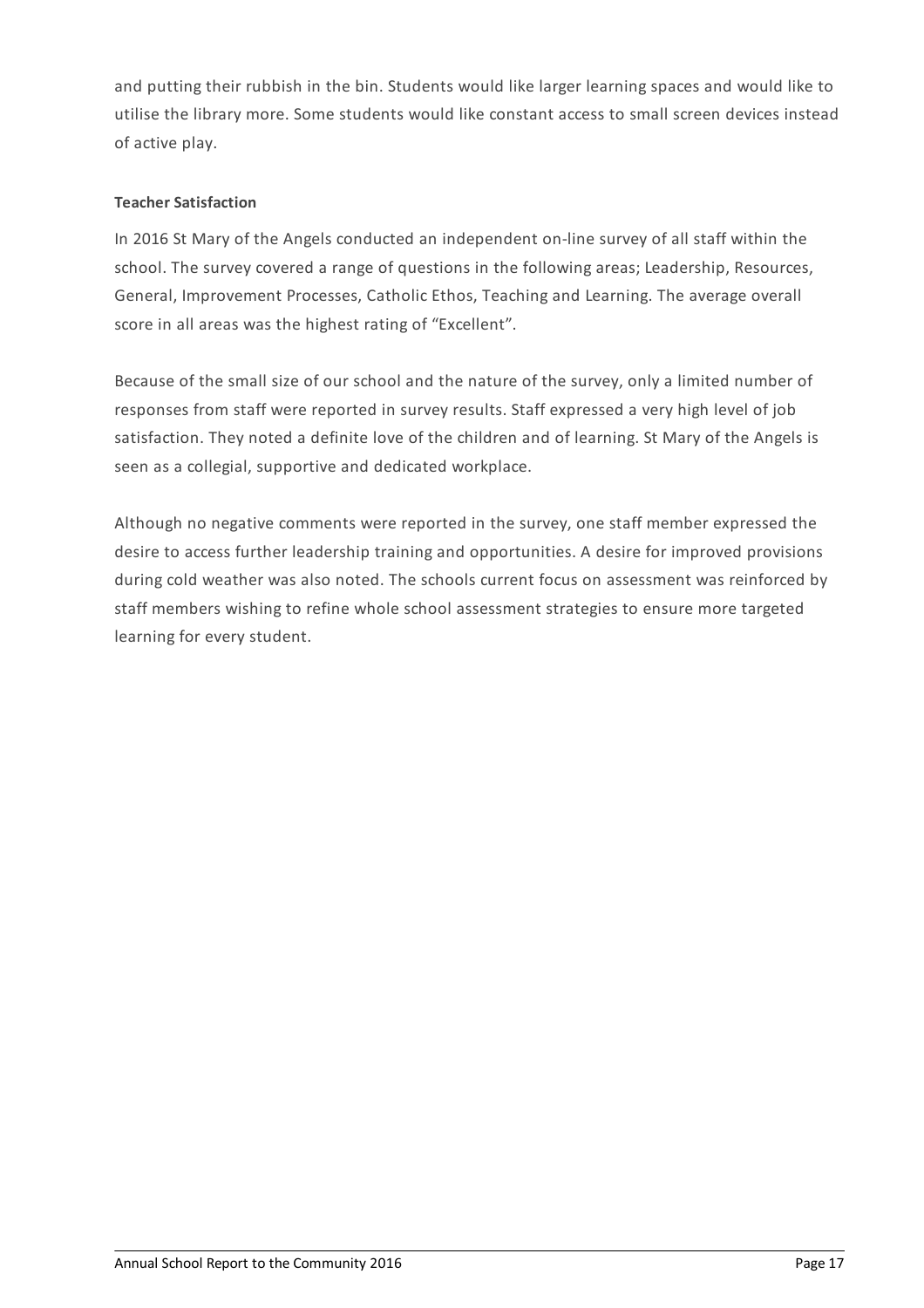and putting their rubbish in the bin. Students would like larger learning spaces and would like to utilise the library more. Some students would like constant access to small screen devices instead of active play.

# **Teacher Satisfaction**

In 2016 St Mary of the Angels conducted an independent on-line survey of all staff within the school. The survey covered a range of questions in the following areas; Leadership, Resources, General, Improvement Processes, Catholic Ethos, Teaching and Learning. The average overall score in all areas was the highest rating of "Excellent".

Because of the small size of our school and the nature of the survey, only a limited number of responses from staff were reported in survey results. Staff expressed a very high level of job satisfaction. They noted a definite love of the children and of learning. St Mary of the Angels is seen as a collegial, supportive and dedicated workplace.

Although no negative comments were reported in the survey, one staff member expressed the desire to access further leadership training and opportunities. A desire for improved provisions during cold weather was also noted. The schools current focus on assessment was reinforced by staff members wishing to refine whole school assessment strategies to ensure more targeted learning for every student.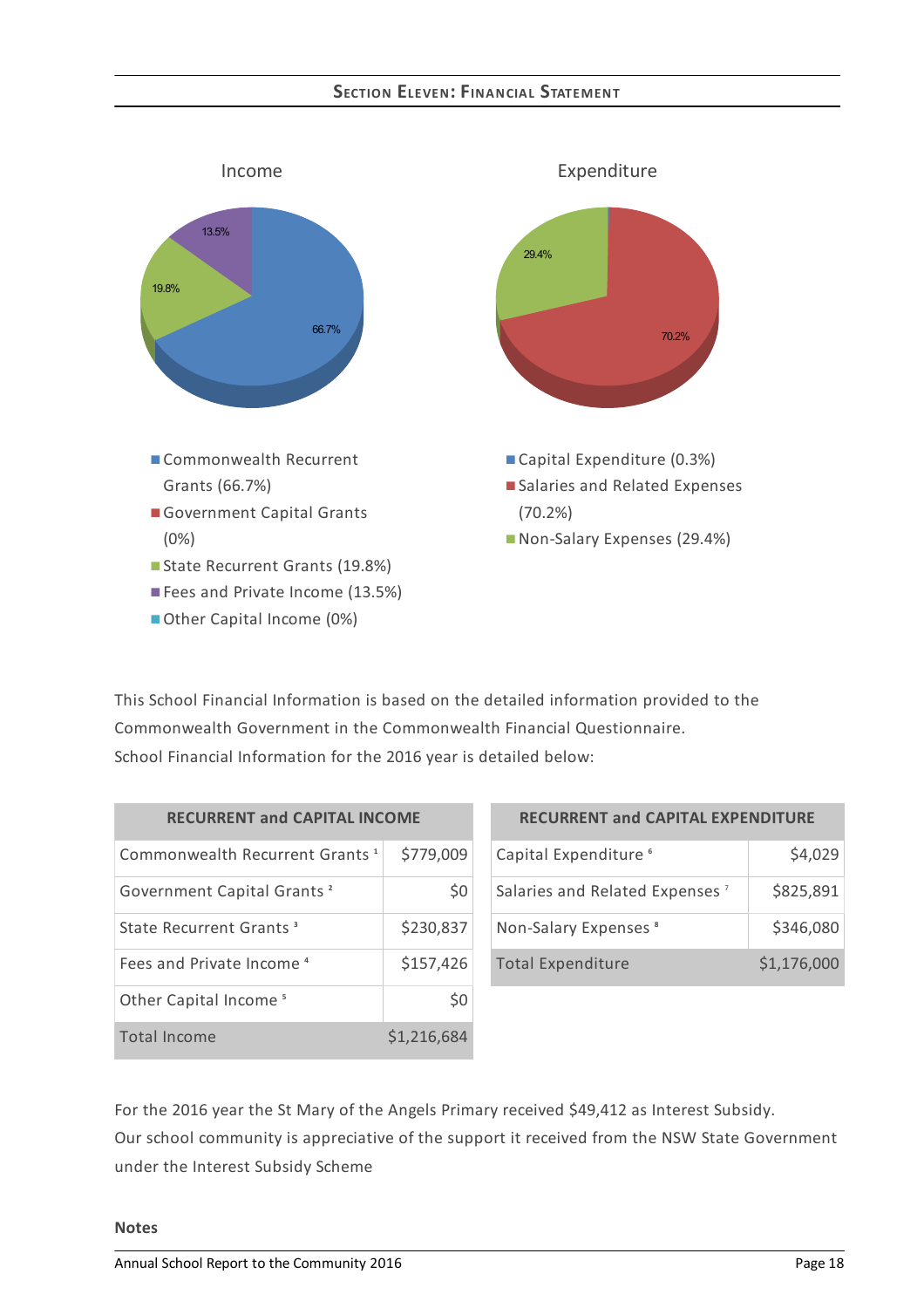## **SECTION ELEVEN:FINANCIAL STATEMENT**



This School Financial Information is based on the detailed information provided to the Commonwealth Government in the Commonwealth Financial Questionnaire. School Financial Information for the 2016 year is detailed below:

| <b>RECURRENT and CAPITAL INCOME</b>        |             |  |  |
|--------------------------------------------|-------------|--|--|
| Commonwealth Recurrent Grants <sup>1</sup> | \$779,009   |  |  |
| Government Capital Grants <sup>2</sup>     | S0          |  |  |
| State Recurrent Grants <sup>3</sup>        | \$230,837   |  |  |
| Fees and Private Income <sup>4</sup>       | \$157,426   |  |  |
| Other Capital Income <sup>5</sup>          | S0          |  |  |
| Total Income                               | \$1,216,684 |  |  |

| <b>RECURRENT and CAPITAL EXPENDITURE</b>   |             |  |  |
|--------------------------------------------|-------------|--|--|
| Capital Expenditure <sup>6</sup>           | \$4,029     |  |  |
| Salaries and Related Expenses <sup>7</sup> | \$825,891   |  |  |
| Non-Salary Expenses <sup>8</sup>           | \$346,080   |  |  |
| <b>Total Expenditure</b>                   | \$1,176,000 |  |  |

For the 2016 year the St Mary of the Angels Primary received \$49,412 as Interest Subsidy. Our school community is appreciative of the support it received from the NSW State Government under the Interest Subsidy Scheme

## **Notes**